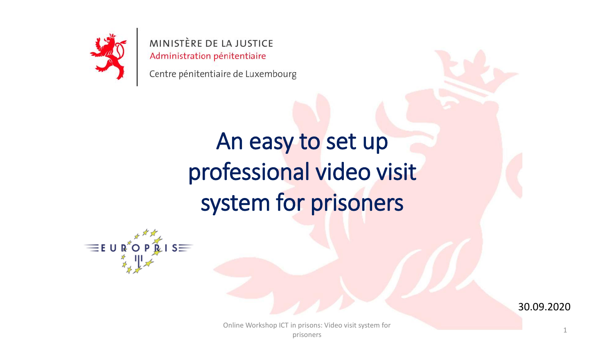

Centre pénitentiaire de Luxembourg

## An easy to set up professional video visit system for prisoners





1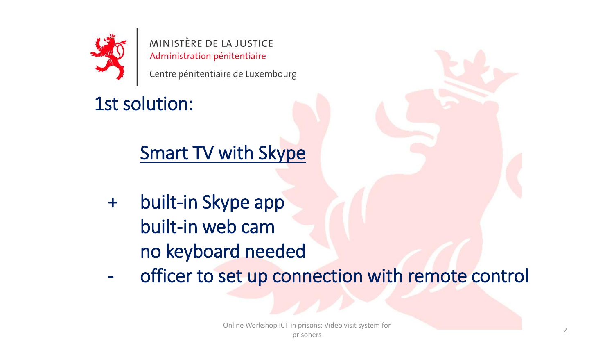

Centre pénitentiaire de Luxembourg

1st solution:

Smart TV with Skype

- + built-in Skype app built-in web cam no keyboard needed
- officer to set up connection with remote control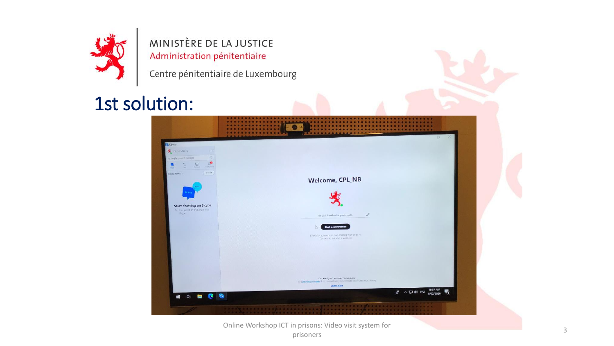

Centre pénitentiaire de Luxembourg

#### 1st solution:

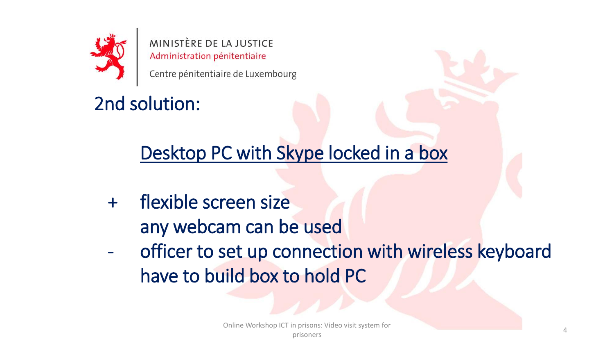

Centre pénitentiaire de Luxembourg

2nd solution:

Desktop PC with Skype locked in a box

- + flexible screen size any webcam can be used
- officer to set up connection with wireless keyboard have to build box to hold PC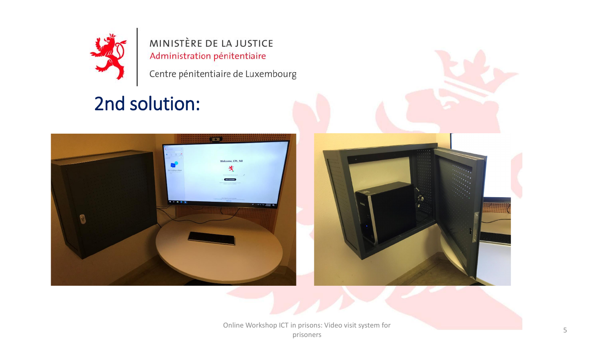

Centre pénitentiaire de Luxembourg

## 2nd solution:





Online Workshop ICT in prisons: Video visit system for prisoners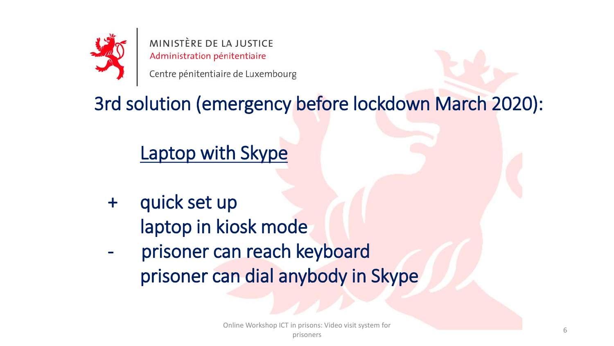

Centre pénitentiaire de Luxembourg

## 3rd solution (emergency before lockdown March 2020):

## Laptop with Skype

- + quick set up laptop in kiosk mode
- prisoner can reach keyboard prisoner can dial anybody in Skype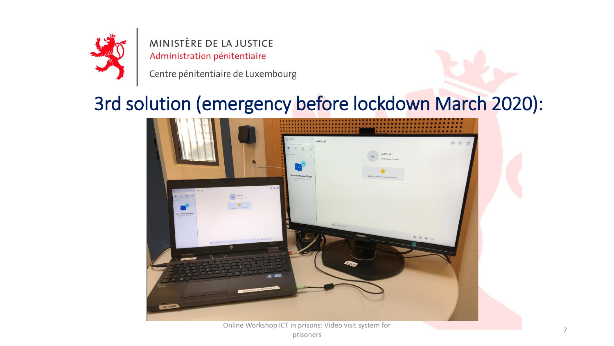

Centre pénitentiaire de Luxembourg

#### 3rd solution (emergency before lockdown March 2020):

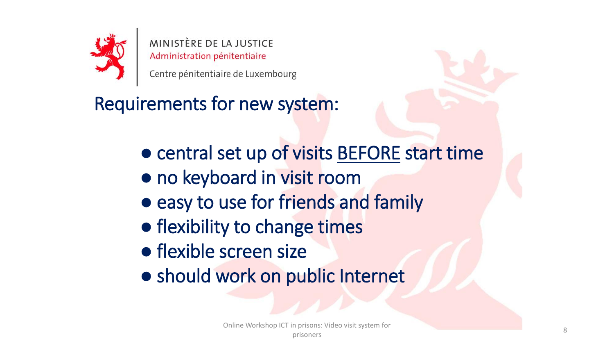

Centre pénitentiaire de Luxembourg

Requirements for new system:

- central set up of visits BEFORE start time
- no keyboard in visit room
- easy to use for friends and family
- flexibility to change times
- flexible screen size
- should work on public Internet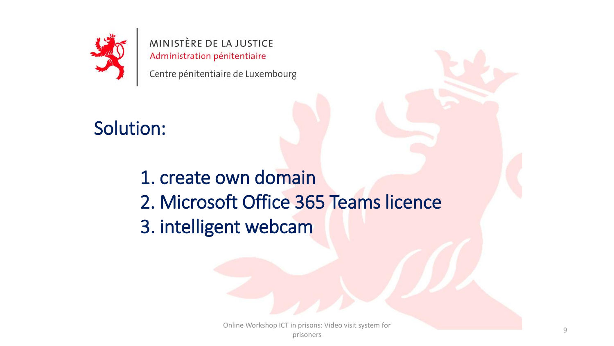

Centre pénitentiaire de Luxembourg

#### Solution:

1. create own domain 2. Microsoft Office 365 Teams licence 3. intelligent webcam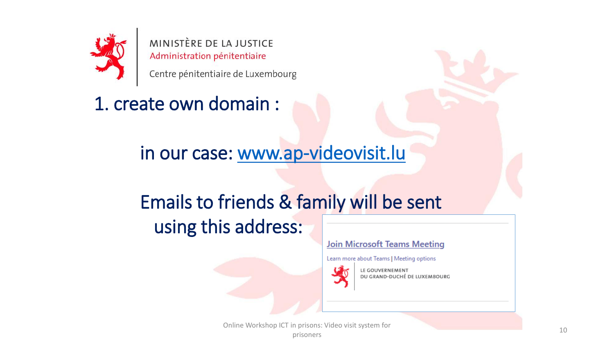

Centre pénitentiaire de Luxembourg

1. create own domain :

in our case: [www.ap-videovisit.lu](http://www.ap-videovisit.lu/)

## Emails to friends & family will be sent using this address:

#### **Join Microsoft Teams Meeting**

Learn more about Teams | Meeting options



LE GOUVERNEMENT DU GRAND-DUCHÉ DE LUXEMBOURG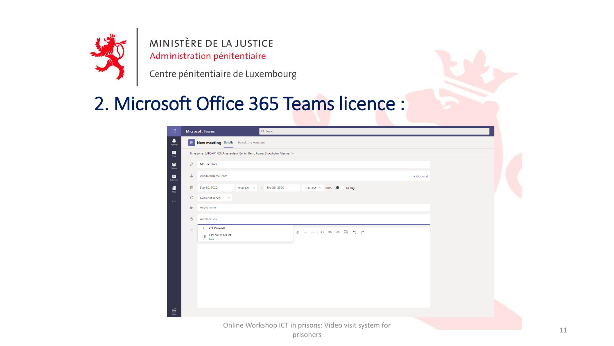

Centre pénitentiaire de Luxembourg

#### 2. Microsoft Office 365 Teams licence :

| $\mathop{\mathrm{HH}}\nolimits$                                                      |                                                                                | <b>Microsoft Teams</b>                                | Q Search                           |                                                        |            |  |
|--------------------------------------------------------------------------------------|--------------------------------------------------------------------------------|-------------------------------------------------------|------------------------------------|--------------------------------------------------------|------------|--|
| $\frac{1}{\text{Activity}}$                                                          |                                                                                | New meeting Details Scheduling Assistant              |                                    |                                                        |            |  |
| $\begin{array}{c} \n\blacksquare \\ \n\blacksquare \n\end{array}$                    | Time zone: (UTC+01:00) Amsterdam, Berlin, Bern, Rome, Stockholm, Vienna $\vee$ |                                                       |                                    |                                                        |            |  |
| $\begin{array}{c} \mathbf{iii} \\ \mathbf{Ieams} \end{array}$                        |                                                                                | Mr. Joe Black                                         |                                    |                                                        |            |  |
| $\Box$ Calendar                                                                      | $\stackrel{\circ}{=}$                                                          | jane.black@mail.com                                   |                                    |                                                        | + Optional |  |
| $\begin{array}{c} \begin{array}{c} \text{d} \\ \text{files} \end{array} \end{array}$ | Ü                                                                              | Sep 30, 2020                                          | 9:00 AM $\rightarrow$ Sep 30, 2020 | 9:30 AM $\sim$ 30m $\bullet$ All day                   |            |  |
| $\cdots$                                                                             | Ø                                                                              | Does not repeat $\quad \, \lor$                       |                                    |                                                        |            |  |
|                                                                                      | 冒                                                                              | Add channel                                           |                                    |                                                        |            |  |
|                                                                                      | $\circledcirc$                                                                 | Add location                                          |                                    |                                                        |            |  |
|                                                                                      | $\equiv$                                                                       | < CPL Visite NB<br>CPL Visite NB P4<br>$\Box$<br>Free |                                    | ○ 三 三   , ◎ 를 囲   う ぐ                                  |            |  |
|                                                                                      |                                                                                |                                                       |                                    |                                                        |            |  |
|                                                                                      |                                                                                |                                                       |                                    |                                                        |            |  |
|                                                                                      |                                                                                |                                                       |                                    |                                                        |            |  |
|                                                                                      |                                                                                |                                                       |                                    |                                                        |            |  |
|                                                                                      |                                                                                |                                                       |                                    |                                                        |            |  |
|                                                                                      |                                                                                |                                                       |                                    |                                                        |            |  |
| $\underbrace{\mathop{\bigoplus}\limits_{\mathop{\sf Apps}\nolimits}}$                |                                                                                |                                                       |                                    |                                                        |            |  |
|                                                                                      |                                                                                |                                                       |                                    | Online Workshop ICT in prisons: Video visit system for |            |  |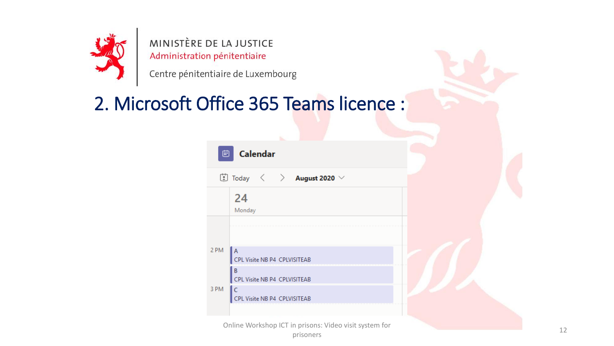

Centre pénitentiaire de Luxembourg

#### 2. Microsoft Office 365 Teams licence :

| ₿                                                                                                                                                                       |                                                                   |  |
|-------------------------------------------------------------------------------------------------------------------------------------------------------------------------|-------------------------------------------------------------------|--|
| $\begin{array}{ccc} \hline \hline \hline \hline \hline \hline \end{array}$ Today $\begin{array}{ccc} \hline \hline \hline \hline \end{array}$ <b>August 2020</b> $\vee$ |                                                                   |  |
|                                                                                                                                                                         | 24<br>Monday                                                      |  |
| 2 PM                                                                                                                                                                    | $\mathsf{A}$<br>CPL Visite NB P4 CPLVISITEAB                      |  |
| 3 PM                                                                                                                                                                    | B<br>CPL Visite NB P4 CPLVISITEAB<br>CPL Visite NB P4 CPLVISITEAB |  |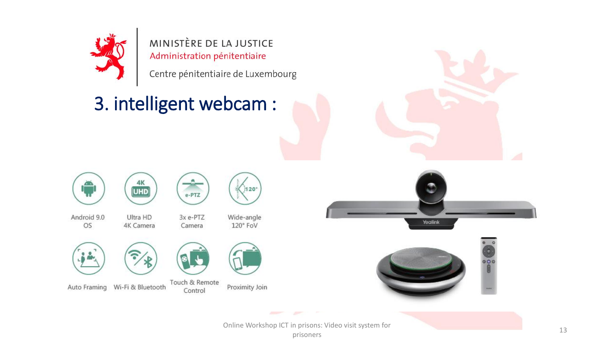

Centre pénitentiaire de Luxembourg

## 3. intelligent webcam :











e-PTZ

Control

Wide-angle 120° FoV

 $1120$ 





Auto Framing Wi-Fi & Bluetooth





Touch & Remote Proximity Join





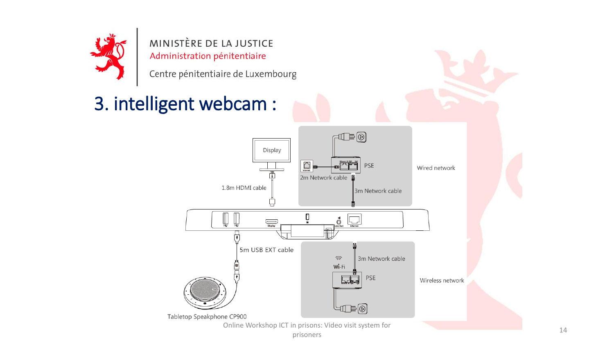

Centre pénitentiaire de Luxembourg

## 3. intelligent webcam :

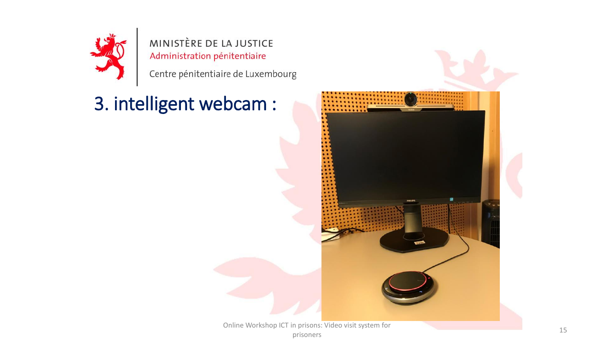

Centre pénitentiaire de Luxembourg

## 3. intelligent webcam :